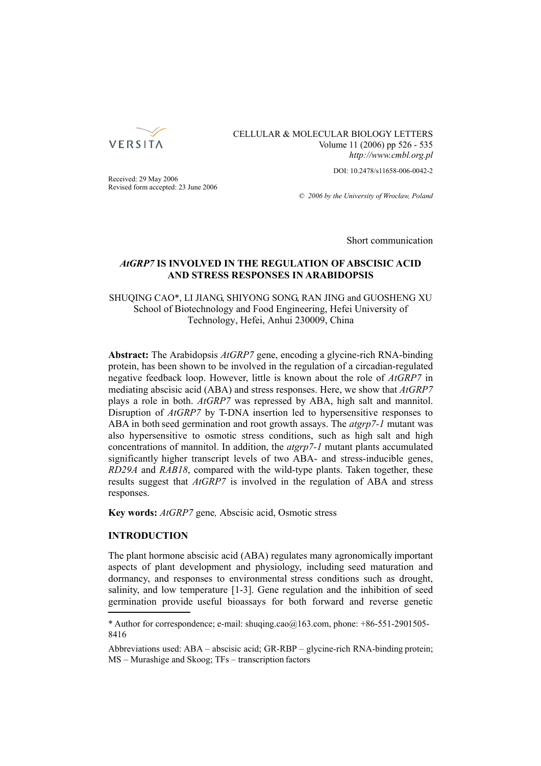

CELLULAR & MOLECULAR BIOLOGY LETTERS Volume 11 (2006) pp 526 - 535 *http://www.cmbl.org.pl*

DOI: 10.2478/s11658-006-0042-2

Received: 29 May 2006 Revised form accepted: 23 June 2006

*© 2006 by the University of Wrocław, Poland*

Short communication

# *AtGRP7* **IS INVOLVED IN THE REGULATION OF ABSCISIC ACID AND STRESS RESPONSES IN ARABIDOPSIS**

# SHUQING CAO\*, LI JIANG, SHIYONG SONG, RAN JING and GUOSHENG XU School of Biotechnology and Food Engineering, Hefei University of Technology, Hefei, Anhui 230009, China

**Abstract:** The Arabidopsis *AtGRP7* gene, encoding a glycine-rich RNA-binding protein, has been shown to be involved in the regulation of a circadian-regulated negative feedback loop. However, little is known about the role of *AtGRP7* in mediating abscisic acid (ABA) and stress responses. Here, we show that *AtGRP7* plays a role in both. *AtGRP7* was repressed by ABA, high salt and mannitol. Disruption of *AtGRP7* by T-DNA insertion led to hypersensitive responses to ABA in both seed germination and root growth assays. The *atgrp7-1* mutant was also hypersensitive to osmotic stress conditions, such as high salt and high concentrations of mannitol. In addition, the *atgrp7-1* mutant plants accumulated significantly higher transcript levels of two ABA- and stress-inducible genes, *RD29A* and *RAB18*, compared with the wild-type plants. Taken together, these results suggest that *AtGRP7* is involved in the regulation of ABA and stress responses.

**Key words:** *AtGRP7* gene*,* Abscisic acid, Osmotic stress

# **INTRODUCTION**

The plant hormone abscisic acid (ABA) regulates many agronomically important aspects of plant development and physiology, including seed maturation and dormancy, and responses to environmental stress conditions such as drought, salinity, and low temperature [1-3]. Gene regulation and the inhibition of seed germination provide useful bioassays for both forward and reverse genetic

<sup>\*</sup> Author for correspondence; e-mail: shuqing.cao $@163$ .com, phone:  $+86-551-2901505-$ 8416

Abbreviations used: ABA – abscisic acid; GR-RBP – glycine-rich RNA-binding protein; MS – Murashige and Skoog; TFs – transcription factors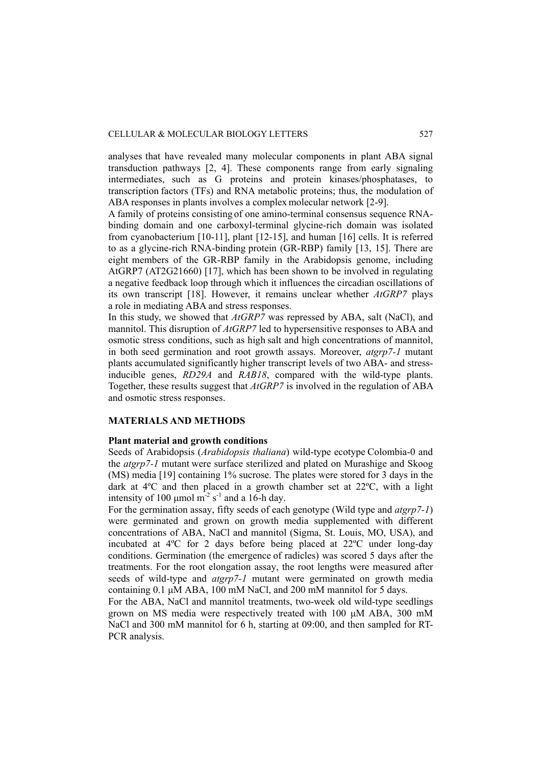analyses that have revealed many molecular components in plant ABA signal transduction pathways [2, 4]. These components range from early signaling intermediates, such as G proteins and protein kinases/phosphatases, to transcription factors (TFs) and RNA metabolic proteins; thus, the modulation of ABA responses in plants involves a complex molecular network [2-9].

A family of proteins consisting of one amino-terminal consensus sequence RNAbinding domain and one carboxyl-terminal glycine-rich domain was isolated from cyanobacterium [10-11], plant [12-15], and human [16] cells. It is referred to as a glycine-rich RNA-binding protein (GR-RBP) family [13, 15]. There are eight members of the GR-RBP family in the Arabidopsis genome, including AtGRP7 (AT2G21660) [17], which has been shown to be involved in regulating a negative feedback loop through which it influences the circadian oscillations of its own transcript [18]. However, it remains unclear whether *AtGRP7* plays a role in mediating ABA and stress responses.

In this study, we showed that *AtGRP7* was repressed by ABA, salt (NaCl), and mannitol. This disruption of *AtGRP7* led to hypersensitive responses to ABA and osmotic stress conditions, such as high salt and high concentrations of mannitol, in both seed germination and root growth assays. Moreover, *atgrp7-1* mutant plants accumulated significantly higher transcript levels of two ABA- and stressinducible genes, *RD29A* and *RAB18*, compared with the wild-type plants. Together, these results suggest that *AtGRP7* is involved in the regulation of ABA and osmotic stress responses.

### **MATERIALS AND METHODS**

#### **Plant material and growth conditions**

Seeds of Arabidopsis (*Arabidopsis thaliana*) wild-type ecotype Colombia-0 and the *atgrp7-1* mutant were surface sterilized and plated on Murashige and Skoog (MS) media [19] containing 1% sucrose. The plates were stored for 3 days in the dark at 4ºC and then placed in a growth chamber set at 22ºC, with a light intensity of 100  $\mu$ mol m<sup>-2</sup> s<sup>-1</sup> and a 16-h day.

For the germination assay, fifty seeds of each genotype (Wild type and *atgrp7-1*) were germinated and grown on growth media supplemented with different concentrations of ABA, NaCl and mannitol (Sigma, St. Louis, MO, USA), and incubated at 4ºC for 2 days before being placed at 22ºC under long-day conditions. Germination (the emergence of radicles) was scored 5 days after the treatments. For the root elongation assay, the root lengths were measured after seeds of wild-type and *atgrp7-1* mutant were germinated on growth media containing 0.1 μM ABA, 100 mM NaCl, and 200 mM mannitol for 5 days.

For the ABA, NaCl and mannitol treatments, two-week old wild-type seedlings grown on MS media were respectively treated with 100 μM ABA, 300 mM NaCl and 300 mM mannitol for 6 h, starting at 09:00, and then sampled for RT-PCR analysis.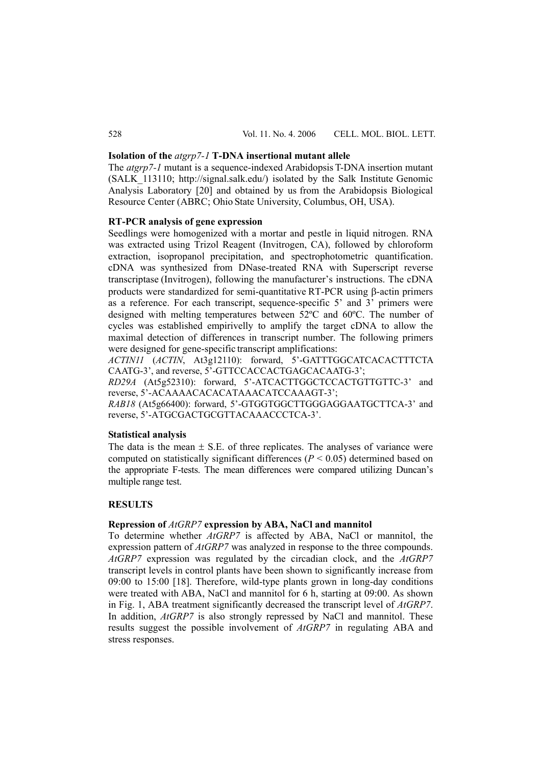### **Isolation of the** *atgrp7-1* **T-DNA insertional mutant allele**

The *atgrp7-1* mutant is a sequence-indexed Arabidopsis T-DNA insertion mutant  $(SALK<sub>113110</sub>; <http://signal.salk.edu/>) isolated by the Salk Institute Genomic$ Analysis Laboratory [20] and obtained by us from the Arabidopsis Biological Resource Center (ABRC; Ohio State University, Columbus, OH, USA).

### **RT-PCR analysis of gene expression**

Seedlings were homogenized with a mortar and pestle in liquid nitrogen. RNA was extracted using Trizol Reagent (Invitrogen, CA), followed by chloroform extraction, isopropanol precipitation, and spectrophotometric quantification. cDNA was synthesized from DNase-treated RNA with Superscript reverse transcriptase (Invitrogen), following the manufacturer's instructions. The cDNA products were standardized for semi-quantitative RT-PCR using β-actin primers as a reference. For each transcript, sequence-specific 5' and 3' primers were designed with melting temperatures between 52ºC and 60ºC. The number of cycles was established empirivelly to amplify the target cDNA to allow the maximal detection of differences in transcript number. The following primers were designed for gene-specific transcript amplifications:

*ACTIN11* (*ACTIN*, At3g12110): forward, 5'-GATTTGGCATCACACTTTCTA CAATG-3', and reverse, 5'-GTTCCACCACTGAGCACAATG-3';

*RD29A* (At5g52310): forward, 5'-ATCACTTGGCTCCACTGTTGTTC-3' and reverse, 5'-ACAAAACACACATAAACATCCAAAGT-3';

*RAB18* (At5g66400): forward, 5'-GTGGTGGCTTGGGAGGAATGCTTCA-3' and reverse, 5'-ATGCGACTGCGTTACAAACCCTCA-3'.

#### **Statistical analysis**

The data is the mean  $\pm$  S.E. of three replicates. The analyses of variance were computed on statistically significant differences  $(P < 0.05)$  determined based on the appropriate F-tests. The mean differences were compared utilizing Duncan's multiple range test.

## **RESULTS**

## **Repression of** *AtGRP7* **expression by ABA, NaCl and mannitol**

To determine whether *AtGRP7* is affected by ABA, NaCl or mannitol, the expression pattern of *AtGRP7* was analyzed in response to the three compounds. *AtGRP7* expression was regulated by the circadian clock, and the *AtGRP7*  transcript levels in control plants have been shown to significantly increase from 09:00 to 15:00 [18]. Therefore, wild-type plants grown in long-day conditions were treated with ABA, NaCl and mannitol for 6 h, starting at 09:00. As shown in Fig. 1, ABA treatment significantly decreased the transcript level of *AtGRP7*. In addition, *AtGRP7* is also strongly repressed by NaCl and mannitol. These results suggest the possible involvement of *AtGRP7* in regulating ABA and stress responses.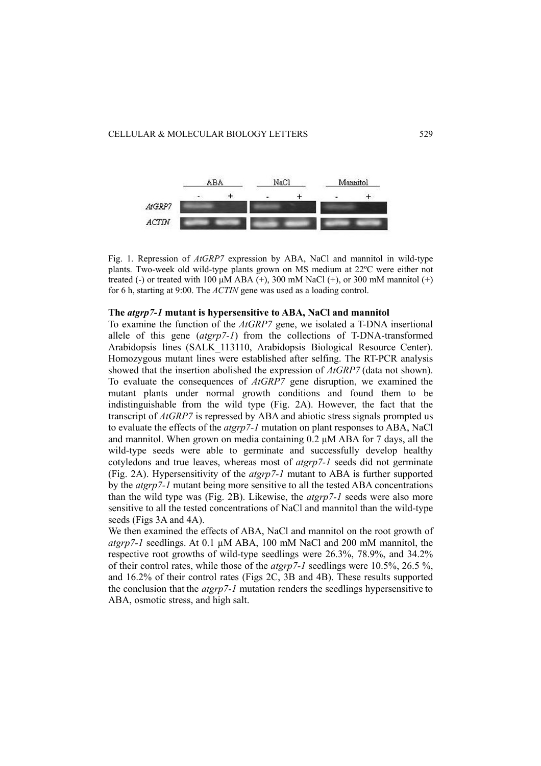

Fig. 1. Repression of *AtGRP7* expression by ABA, NaCl and mannitol in wild-type plants. Two-week old wild-type plants grown on MS medium at 22ºC were either not treated (-) or treated with 100  $\mu$ M ABA (+), 300 mM NaCl (+), or 300 mM mannitol (+) for 6 h, starting at 9:00. The *ACTIN* gene was used as a loading control.

### **The** *atgrp7-1* **mutant is hypersensitive to ABA, NaCl and mannitol**

To examine the function of the *AtGRP7* gene, we isolated a T-DNA insertional allele of this gene (*atgrp7-1*) from the collections of T-DNA-transformed Arabidopsis lines (SALK\_113110, Arabidopsis Biological Resource Center). Homozygous mutant lines were established after selfing. The RT-PCR analysis showed that the insertion abolished the expression of *AtGRP7* (data not shown). To evaluate the consequences of *AtGRP7* gene disruption, we examined the mutant plants under normal growth conditions and found them to be indistinguishable from the wild type (Fig. 2A). However, the fact that the transcript of *AtGRP7* is repressed by ABA and abiotic stress signals prompted us to evaluate the effects of the *atgrp7-1* mutation on plant responses to ABA, NaCl and mannitol. When grown on media containing 0.2 μM ABA for 7 days, all the wild-type seeds were able to germinate and successfully develop healthy cotyledons and true leaves, whereas most of *atgrp7-1* seeds did not germinate (Fig. 2A). Hypersensitivity of the *atgrp7-1* mutant to ABA is further supported by the *atgrp7-1* mutant being more sensitive to all the tested ABA concentrations than the wild type was (Fig. 2B). Likewise, the *atgrp7-1* seeds were also more sensitive to all the tested concentrations of NaCl and mannitol than the wild-type seeds (Figs 3A and 4A).

We then examined the effects of ABA, NaCl and mannitol on the root growth of *atgrp7-1* seedlings. At 0.1 µM ABA, 100 mM NaCl and 200 mM mannitol, the respective root growths of wild-type seedlings were 26.3%, 78.9%, and 34.2% of their control rates, while those of the *atgrp7-1* seedlings were 10.5%, 26.5 %, and 16.2% of their control rates (Figs 2C, 3B and 4B). These results supported the conclusion that the *atgrp7-1* mutation renders the seedlings hypersensitive to ABA, osmotic stress, and high salt.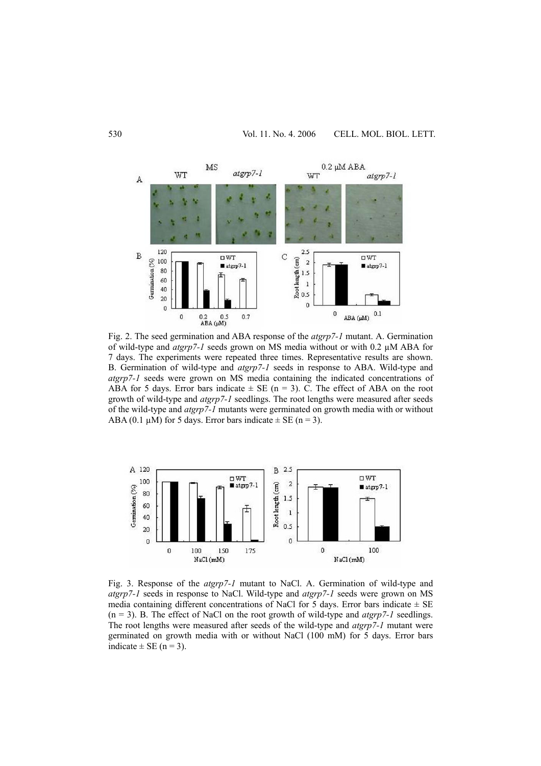

Fig. 2. The seed germination and ABA response of the *atgrp7-1* mutant. A. Germination of wild-type and *atgrp7-1* seeds grown on MS media without or with 0.2 µM ABA for 7 days. The experiments were repeated three times. Representative results are shown. B. Germination of wild-type and *atgrp7-1* seeds in response to ABA. Wild-type and *atgrp7-1* seeds were grown on MS media containing the indicated concentrations of ABA for 5 days. Error bars indicate  $\pm$  SE (n = 3). C. The effect of ABA on the root growth of wild-type and *atgrp7-1* seedlings. The root lengths were measured after seeds of the wild-type and *atgrp7-1* mutants were germinated on growth media with or without ABA (0.1  $\mu$ M) for 5 days. Error bars indicate  $\pm$  SE (n = 3).



Fig. 3. Response of the *atgrp7-1* mutant to NaCl. A. Germination of wild-type and *atgrp7-1* seeds in response to NaCl. Wild-type and *atgrp7-1* seeds were grown on MS media containing different concentrations of NaCl for 5 days. Error bars indicate  $\pm$  SE (n = 3). B. The effect of NaCl on the root growth of wild-type and *atgrp7-1* seedlings. The root lengths were measured after seeds of the wild-type and *atgrp7-1* mutant were germinated on growth media with or without NaCl (100 mM) for 5 days. Error bars indicate  $\pm$  SE (n = 3).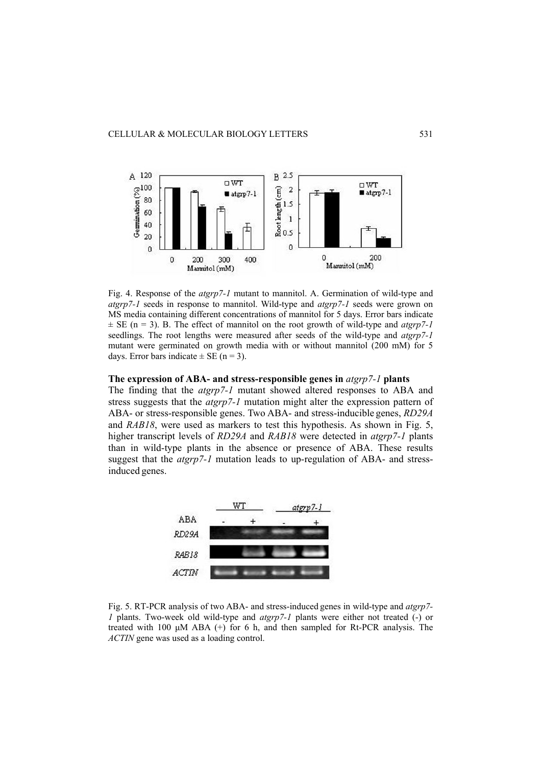

Fig. 4. Response of the *atgrp7-1* mutant to mannitol. A. Germination of wild-type and *atgrp7-1* seeds in response to mannitol. Wild-type and *atgrp7-1* seeds were grown on MS media containing different concentrations of mannitol for 5 days. Error bars indicate  $\pm$  SE (n = 3). B. The effect of mannitol on the root growth of wild-type and *atgrp*7-1 seedlings. The root lengths were measured after seeds of the wild-type and *atgrp7-1* mutant were germinated on growth media with or without mannitol (200 mM) for 5 days. Error bars indicate  $\pm$  SE (n = 3).

### **The expression of ABA- and stress-responsible genes in** *atgrp7-1* **plants**

The finding that the *atgrp7-1* mutant showed altered responses to ABA and stress suggests that the *atgrp7-1* mutation might alter the expression pattern of ABA- or stress-responsible genes. Two ABA- and stress-inducible genes, *RD29A*  and *RAB18*, were used as markers to test this hypothesis. As shown in Fig. 5, higher transcript levels of *RD29A* and *RAB18* were detected in *atgrp7-1* plants than in wild-type plants in the absence or presence of ABA. These results suggest that the *atgrp7-1* mutation leads to up-regulation of ABA- and stressinduced genes.



Fig. 5. RT-PCR analysis of two ABA- and stress-induced genes in wild-type and *atgrp7- 1* plants. Two-week old wild-type and *atgrp7-1* plants were either not treated (-) or treated with 100  $\mu$ M ABA (+) for 6 h, and then sampled for Rt-PCR analysis. The *ACTIN* gene was used as a loading control.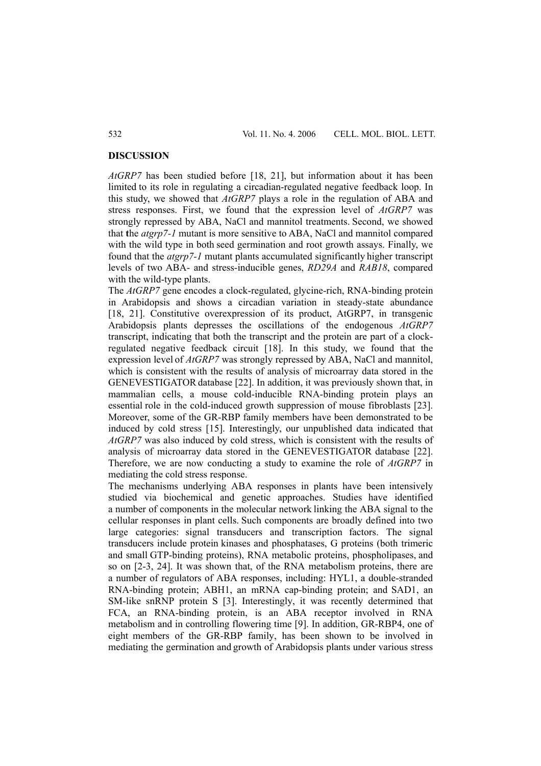#### **DISCUSSION**

*AtGRP7* has been studied before [18, 21], but information about it has been limited to its role in regulating a circadian-regulated negative feedback loop. In this study, we showed that *AtGRP7* plays a role in the regulation of ABA and stress responses. First, we found that the expression level of *AtGRP7* was strongly repressed by ABA, NaCl and mannitol treatments. Second, we showed that **t**he *atgrp7-1* mutant is more sensitive to ABA, NaCl and mannitol compared with the wild type in both seed germination and root growth assays. Finally, we found that the *atgrp7-1* mutant plants accumulated significantly higher transcript levels of two ABA- and stress-inducible genes, *RD29A* and *RAB18*, compared with the wild-type plants.

The *AtGRP7* gene encodes a clock-regulated, glycine-rich, RNA-binding protein in Arabidopsis and shows a circadian variation in steady-state abundance [18, 21]. Constitutive overexpression of its product, AtGRP7, in transgenic Arabidopsis plants depresses the oscillations of the endogenous *AtGRP7* transcript, indicating that both the transcript and the protein are part of a clockregulated negative feedback circuit [18]. In this study, we found that the expression level of *AtGRP7* was strongly repressed by ABA, NaCl and mannitol, which is consistent with the results of analysis of microarray data stored in the GENEVESTIGATOR database [22]. In addition, it was previously shown that, in mammalian cells, a mouse cold-inducible RNA-binding protein plays an essential role in the cold-induced growth suppression of mouse fibroblasts [23]. Moreover, some of the GR-RBP family members have been demonstrated to be induced by cold stress [15]. Interestingly, our unpublished data indicated that *AtGRP7* was also induced by cold stress, which is consistent with the results of analysis of microarray data stored in the GENEVESTIGATOR database [22]. Therefore, we are now conducting a study to examine the role of *AtGRP7* in mediating the cold stress response.

The mechanisms underlying ABA responses in plants have been intensively studied via biochemical and genetic approaches. Studies have identified a number of components in the molecular network linking the ABA signal to the cellular responses in plant cells. Such components are broadly defined into two large categories: signal transducers and transcription factors. The signal transducers include protein kinases and phosphatases, G proteins (both trimeric and small GTP-binding proteins), RNA metabolic proteins, phospholipases, and so on [2-3, 24]. It was shown that, of the RNA metabolism proteins, there are a number of regulators of ABA responses, including: HYL1, a double-stranded RNA-binding protein; ABH1, an mRNA cap-binding protein; and SAD1, an SM-like snRNP protein S [3]. Interestingly, it was recently determined that FCA, an RNA-binding protein, is an ABA receptor involved in RNA metabolism and in controlling flowering time [9]. In addition, GR-RBP4, one of eight members of the GR-RBP family, has been shown to be involved in mediating the germination and growth of Arabidopsis plants under various stress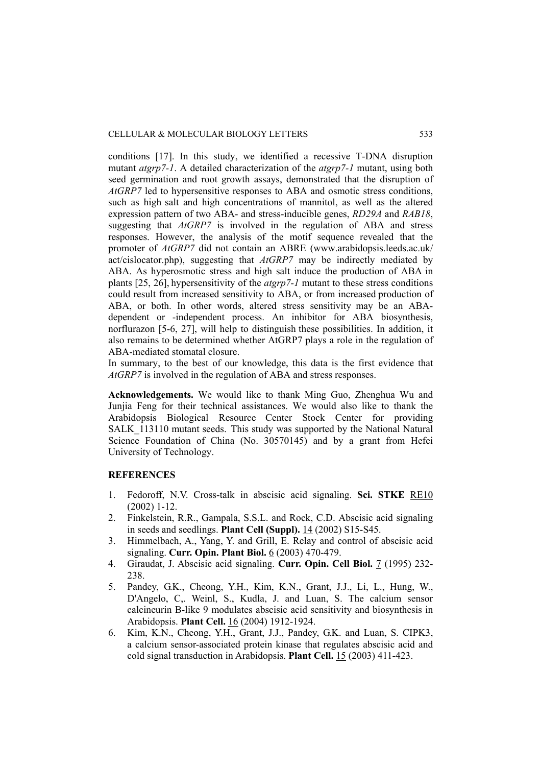conditions [17]. In this study, we identified a recessive T-DNA disruption mutant *atgrp7-1*. A detailed characterization of the *atgrp7-1* mutant, using both seed germination and root growth assays, demonstrated that the disruption of *AtGRP7* led to hypersensitive responses to ABA and osmotic stress conditions, such as high salt and high concentrations of mannitol, as well as the altered expression pattern of two ABA- and stress-inducible genes, *RD29A* and *RAB18*, suggesting that *AtGRP7* is involved in the regulation of ABA and stress responses. However, the analysis of the motif sequence revealed that the promoter of *AtGRP7* did not contain an ABRE (www.arabidopsis.leeds.ac.uk/ act/cislocator.php), suggesting that *AtGRP7* may be indirectly mediated by ABA. As hyperosmotic stress and high salt induce the production of ABA in plants [25, 26], hypersensitivity of the *atgrp7-1* mutant to these stress conditions could result from increased sensitivity to ABA, or from increased production of ABA, or both. In other words, altered stress sensitivity may be an ABAdependent or -independent process. An inhibitor for ABA biosynthesis, norflurazon [5-6, 27], will help to distinguish these possibilities. In addition, it also remains to be determined whether AtGRP7 plays a role in the regulation of ABA-mediated stomatal closure.

In summary, to the best of our knowledge, this data is the first evidence that *AtGRP7* is involved in the regulation of ABA and stress responses.

**Acknowledgements.** We would like to thank Ming Guo, Zhenghua Wu and Junjia Feng for their technical assistances. We would also like to thank the Arabidopsis Biological Resource Center Stock Center for providing SALK\_113110 mutant seeds. This study was supported by the National Natural Science Foundation of China (No. 30570145) and by a grant from Hefei University of Technology.

### **REFERENCES**

- 1. Fedoroff, N.V. Cross-talk in abscisic acid signaling. **Sci. STKE** RE10 (2002) 1-12.
- 2. Finkelstein, R.R., Gampala, S.S.L. and Rock, C.D. Abscisic acid signaling in seeds and seedlings. **Plant Cell (Suppl).** 14 (2002) S15-S45.
- 3. Himmelbach, A., Yang, Y. and Grill, E. Relay and control of abscisic acid signaling. **Curr. Opin. Plant Biol.** 6 (2003) 470-479.
- 4. Giraudat, J. Abscisic acid signaling. **Curr. Opin. Cell Biol.** 7 (1995) 232- 238.
- 5. Pandey, G.K., Cheong, Y.H., Kim, K.N., Grant, J.J., Li, L., Hung, W., D'Angelo, C,. Weinl, S., Kudla, J. and Luan, S. The calcium sensor calcineurin B-like 9 modulates abscisic acid sensitivity and biosynthesis in Arabidopsis. **Plant Cell.** 16 (2004) 1912-1924.
- 6. Kim, K.N., Cheong, Y.H., Grant, J.J., Pandey, G.K. and Luan, S. CIPK3, a calcium sensor-associated protein kinase that regulates abscisic acid and cold signal transduction in Arabidopsis. **Plant Cell.** 15 (2003) 411-423.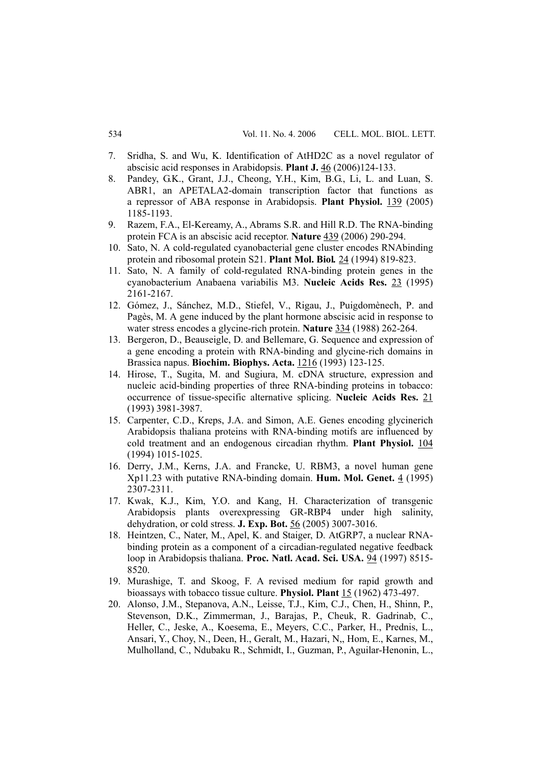- 7. Sridha, S. and Wu, K. Identification of AtHD2C as a novel regulator of abscisic acid responses in Arabidopsis. **Plant J.** 46 (2006)124-133.
- 8. Pandey, G.K., Grant, J.J., Cheong, Y.H., Kim, B.G., Li, L. and Luan, S. ABR1, an APETALA2-domain transcription factor that functions as a repressor of ABA response in Arabidopsis. **Plant Physiol.** 139 (2005) 1185-1193.
- 9. Razem, F.A., El-Kereamy, A., Abrams S.R. and Hill R.D. The RNA-binding protein FCA is an abscisic acid receptor. **Nature** 439 (2006) 290-294.
- 10. Sato, N. A cold-regulated cyanobacterial gene cluster encodes RNAbinding protein and ribosomal protein S21. **Plant Mol. Biol***.* 24 (1994) 819-823.
- 11. Sato, N. A family of cold-regulated RNA-binding protein genes in the cyanobacterium Anabaena variabilis M3. **Nucleic Acids Res.** 23 (1995) 2161-2167.
- 12. Gómez, J., Sánchez, M.D., Stiefel, V., Rigau, J., Puigdomènech, P. and Pagès, M. A gene induced by the plant hormone abscisic acid in response to water stress encodes a glycine-rich protein. **Nature** 334 (1988) 262-264.
- 13. Bergeron, D., Beauseigle, D. and Bellemare, G. Sequence and expression of a gene encoding a protein with RNA-binding and glycine-rich domains in Brassica napus. **Biochim. Biophys. Acta.** 1216 (1993) 123-125.
- 14. Hirose, T., Sugita, M. and Sugiura, M. cDNA structure, expression and nucleic acid-binding properties of three RNA-binding proteins in tobacco: occurrence of tissue-specific alternative splicing. **Nucleic Acids Res.** 21 (1993) 3981-3987.
- 15. Carpenter, C.D., Kreps, J.A. and Simon, A.E. Genes encoding glycinerich Arabidopsis thaliana proteins with RNA-binding motifs are influenced by cold treatment and an endogenous circadian rhythm. **Plant Physiol.** 104 (1994) 1015-1025.
- 16. Derry, J.M., Kerns, J.A. and Francke, U. RBM3, a novel human gene Xp11.23 with putative RNA-binding domain. **Hum. Mol. Genet.** 4 (1995) 2307-2311.
- 17. Kwak, K.J., Kim, Y.O. and Kang, H. Characterization of transgenic Arabidopsis plants overexpressing GR-RBP4 under high salinity, dehydration, or cold stress. **J. Exp. Bot.** 56 (2005) 3007-3016.
- 18. Heintzen, C., Nater, M., Apel, K. and Staiger, D. AtGRP7, a nuclear RNAbinding protein as a component of a circadian-regulated negative feedback loop in Arabidopsis thaliana. **Proc. Natl. Acad. Sci. USA.** 94 (1997) 8515- 8520.
- 19. Murashige, T. and Skoog, F. A revised medium for rapid growth and bioassays with tobacco tissue culture. **Physiol. Plant** 15 (1962) 473-497.
- 20. Alonso, J.M., Stepanova, A.N., Leisse, T.J., Kim, C.J., Chen, H., Shinn, P., Stevenson, D.K., Zimmerman, J., Barajas, P., Cheuk, R. Gadrinab, C., Heller, C., Jeske, A., Koesema, E., Meyers, C.C., Parker, H., Prednis, L., Ansari, Y., Choy, N., Deen, H., Geralt, M., Hazari, N,, Hom, E., Karnes, M., Mulholland, C., Ndubaku R., Schmidt, I., Guzman, P., Aguilar-Henonin, L.,